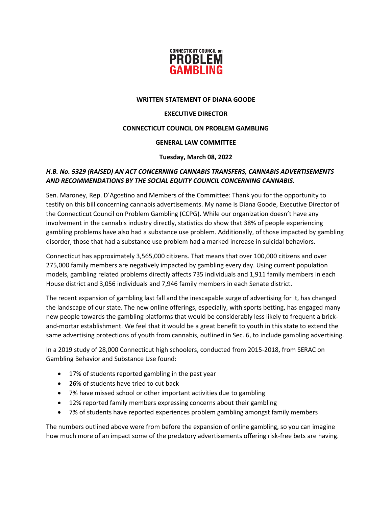

#### **WRITTEN STATEMENT OF DIANA GOODE**

### **EXECUTIVE DIRECTOR**

## **CONNECTICUT COUNCIL ON PROBLEM GAMBLING**

#### **GENERAL LAW COMMITTEE**

#### **Tuesday, March 08, 2022**

# *H.B. No. 5329 (RAISED) AN ACT CONCERNING CANNABIS TRANSFERS, CANNABIS ADVERTISEMENTS AND RECOMMENDATIONS BY THE SOCIAL EQUITY COUNCIL CONCERNING CANNABIS.*

Sen. Maroney, Rep. D'Agostino and Members of the Committee: Thank you for the opportunity to testify on this bill concerning cannabis advertisements. My name is Diana Goode, Executive Director of the Connecticut Council on Problem Gambling (CCPG). While our organization doesn't have any involvement in the cannabis industry directly, statistics do show that 38% of people experiencing gambling problems have also had a substance use problem. Additionally, of those impacted by gambling disorder, those that had a substance use problem had a marked increase in suicidal behaviors.

Connecticut has approximately 3,565,000 citizens. That means that over 100,000 citizens and over 275,000 family members are negatively impacted by gambling every day. Using current population models, gambling related problems directly affects 735 individuals and 1,911 family members in each House district and 3,056 individuals and 7,946 family members in each Senate district.

The recent expansion of gambling last fall and the inescapable surge of advertising for it, has changed the landscape of our state. The new online offerings, especially, with sports betting, has engaged many new people towards the gambling platforms that would be considerably less likely to frequent a brickand-mortar establishment. We feel that it would be a great benefit to youth in this state to extend the same advertising protections of youth from cannabis, outlined in Sec. 6, to include gambling advertising.

In a 2019 study of 28,000 Connecticut high schoolers, conducted from 2015-2018, from SERAC on Gambling Behavior and Substance Use found:

- 17% of students reported gambling in the past year
- 26% of students have tried to cut back
- 7% have missed school or other important activities due to gambling
- 12% reported family members expressing concerns about their gambling
- 7% of students have reported experiences problem gambling amongst family members

The numbers outlined above were from before the expansion of online gambling, so you can imagine how much more of an impact some of the predatory advertisements offering risk-free bets are having.